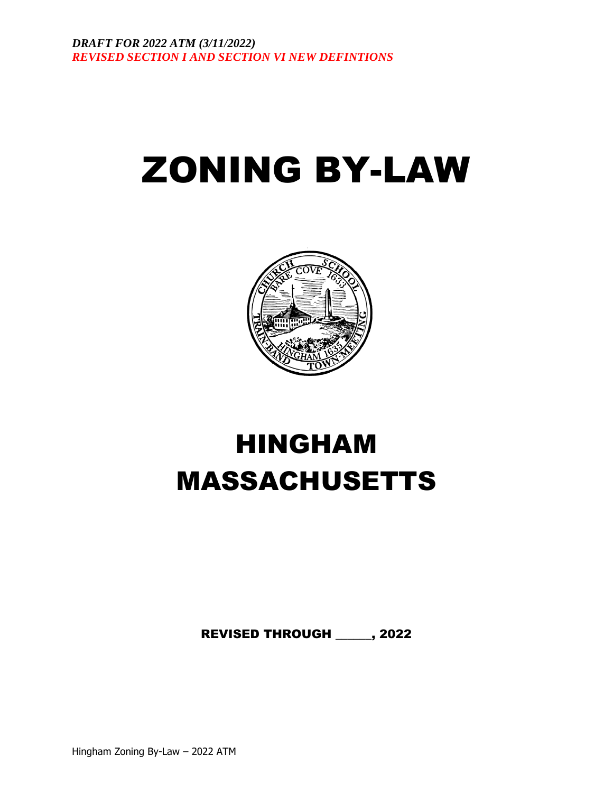# ZONING BY-LAW



## HINGHAM MASSACHUSETTS

REVISED THROUGH \_\_\_\_\_\_, 2022

Hingham Zoning By-Law – 2022 ATM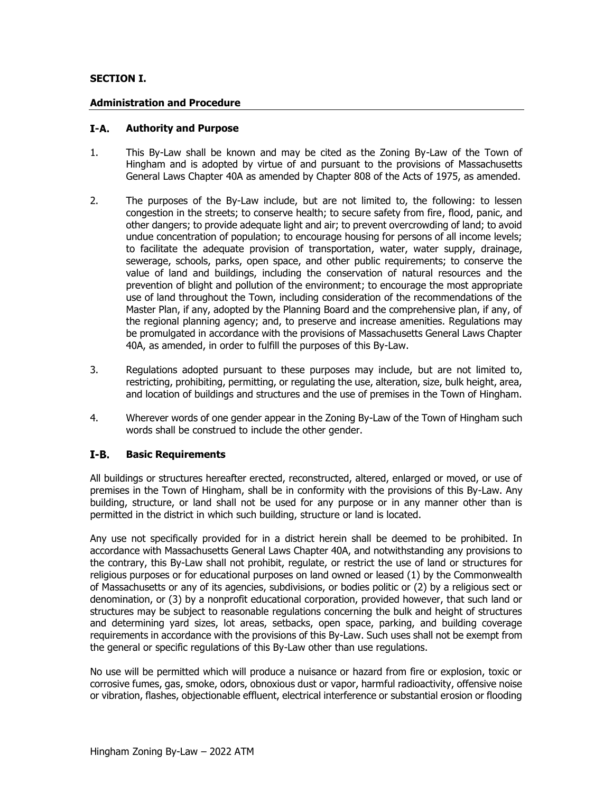## **SECTION I.**

## **Administration and Procedure**

#### I-A. **Authority and Purpose**

- 1. This By-Law shall be known and may be cited as the Zoning By-Law of the Town of Hingham and is adopted by virtue of and pursuant to the provisions of Massachusetts General Laws Chapter 40A as amended by Chapter 808 of the Acts of 1975, as amended.
- 2. The purposes of the By-Law include, but are not limited to, the following: to lessen congestion in the streets; to conserve health; to secure safety from fire, flood, panic, and other dangers; to provide adequate light and air; to prevent overcrowding of land; to avoid undue concentration of population; to encourage housing for persons of all income levels; to facilitate the adequate provision of transportation, water, water supply, drainage, sewerage, schools, parks, open space, and other public requirements; to conserve the value of land and buildings, including the conservation of natural resources and the prevention of blight and pollution of the environment; to encourage the most appropriate use of land throughout the Town, including consideration of the recommendations of the Master Plan, if any, adopted by the Planning Board and the comprehensive plan, if any, of the regional planning agency; and, to preserve and increase amenities. Regulations may be promulgated in accordance with the provisions of Massachusetts General Laws Chapter 40A, as amended, in order to fulfill the purposes of this By-Law.
- 3. Regulations adopted pursuant to these purposes may include, but are not limited to, restricting, prohibiting, permitting, or regulating the use, alteration, size, bulk height, area, and location of buildings and structures and the use of premises in the Town of Hingham.
- 4. Wherever words of one gender appear in the Zoning By-Law of the Town of Hingham such words shall be construed to include the other gender.

#### $I-B.$ **Basic Requirements**

All buildings or structures hereafter erected, reconstructed, altered, enlarged or moved, or use of premises in the Town of Hingham, shall be in conformity with the provisions of this By-Law. Any building, structure, or land shall not be used for any purpose or in any manner other than is permitted in the district in which such building, structure or land is located.

Any use not specifically provided for in a district herein shall be deemed to be prohibited. In accordance with Massachusetts General Laws Chapter 40A, and notwithstanding any provisions to the contrary, this By-Law shall not prohibit, regulate, or restrict the use of land or structures for religious purposes or for educational purposes on land owned or leased (1) by the Commonwealth of Massachusetts or any of its agencies, subdivisions, or bodies politic or (2) by a religious sect or denomination, or (3) by a nonprofit educational corporation, provided however, that such land or structures may be subject to reasonable regulations concerning the bulk and height of structures and determining yard sizes, lot areas, setbacks, open space, parking, and building coverage requirements in accordance with the provisions of this By-Law. Such uses shall not be exempt from the general or specific regulations of this By-Law other than use regulations.

No use will be permitted which will produce a nuisance or hazard from fire or explosion, toxic or corrosive fumes, gas, smoke, odors, obnoxious dust or vapor, harmful radioactivity, offensive noise or vibration, flashes, objectionable effluent, electrical interference or substantial erosion or flooding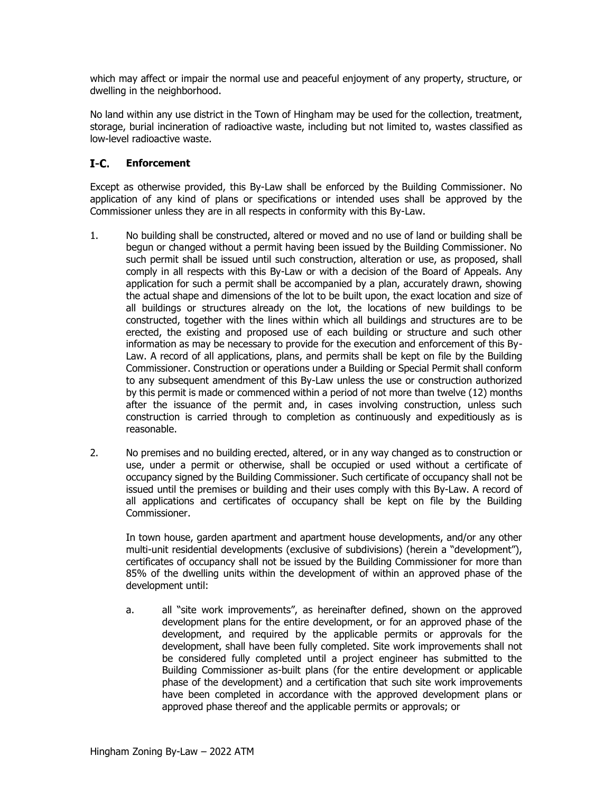which may affect or impair the normal use and peaceful enjoyment of any property, structure, or dwelling in the neighborhood.

No land within any use district in the Town of Hingham may be used for the collection, treatment, storage, burial incineration of radioactive waste, including but not limited to, wastes classified as low-level radioactive waste.

#### $I-C.$ **Enforcement**

Except as otherwise provided, this By-Law shall be enforced by the Building Commissioner. No application of any kind of plans or specifications or intended uses shall be approved by the Commissioner unless they are in all respects in conformity with this By-Law.

- 1. No building shall be constructed, altered or moved and no use of land or building shall be begun or changed without a permit having been issued by the Building Commissioner. No such permit shall be issued until such construction, alteration or use, as proposed, shall comply in all respects with this By-Law or with a decision of the Board of Appeals. Any application for such a permit shall be accompanied by a plan, accurately drawn, showing the actual shape and dimensions of the lot to be built upon, the exact location and size of all buildings or structures already on the lot, the locations of new buildings to be constructed, together with the lines within which all buildings and structures are to be erected, the existing and proposed use of each building or structure and such other information as may be necessary to provide for the execution and enforcement of this By-Law. A record of all applications, plans, and permits shall be kept on file by the Building Commissioner. Construction or operations under a Building or Special Permit shall conform to any subsequent amendment of this By-Law unless the use or construction authorized by this permit is made or commenced within a period of not more than twelve (12) months after the issuance of the permit and, in cases involving construction, unless such construction is carried through to completion as continuously and expeditiously as is reasonable.
- 2. No premises and no building erected, altered, or in any way changed as to construction or use, under a permit or otherwise, shall be occupied or used without a certificate of occupancy signed by the Building Commissioner. Such certificate of occupancy shall not be issued until the premises or building and their uses comply with this By-Law. A record of all applications and certificates of occupancy shall be kept on file by the Building Commissioner.

In town house, garden apartment and apartment house developments, and/or any other multi-unit residential developments (exclusive of subdivisions) (herein a "development"), certificates of occupancy shall not be issued by the Building Commissioner for more than 85% of the dwelling units within the development of within an approved phase of the development until:

a. all "site work improvements", as hereinafter defined, shown on the approved development plans for the entire development, or for an approved phase of the development, and required by the applicable permits or approvals for the development, shall have been fully completed. Site work improvements shall not be considered fully completed until a project engineer has submitted to the Building Commissioner as-built plans (for the entire development or applicable phase of the development) and a certification that such site work improvements have been completed in accordance with the approved development plans or approved phase thereof and the applicable permits or approvals; or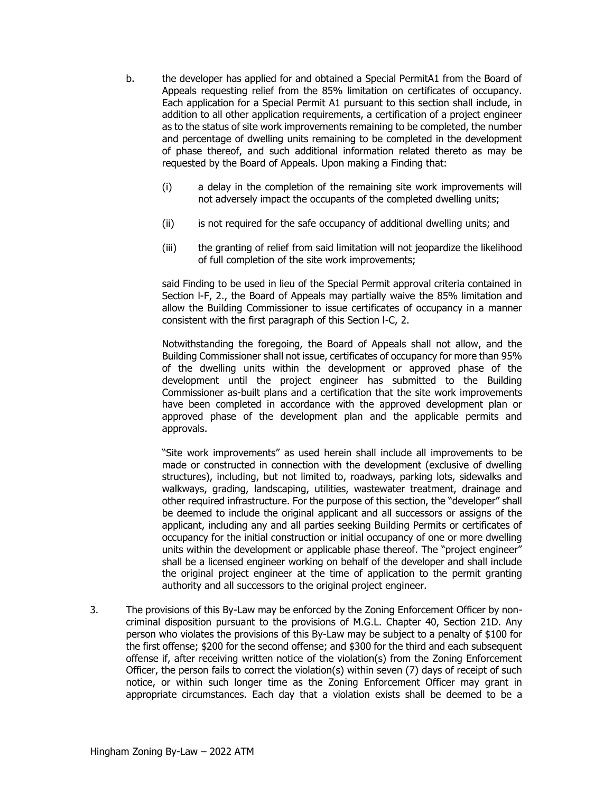- b. the developer has applied for and obtained a Special PermitA1 from the Board of Appeals requesting relief from the 85% limitation on certificates of occupancy. Each application for a Special Permit A1 pursuant to this section shall include, in addition to all other application requirements, a certification of a project engineer as to the status of site work improvements remaining to be completed, the number and percentage of dwelling units remaining to be completed in the development of phase thereof, and such additional information related thereto as may be requested by the Board of Appeals. Upon making a Finding that:
	- (i) a delay in the completion of the remaining site work improvements will not adversely impact the occupants of the completed dwelling units;
	- (ii) is not required for the safe occupancy of additional dwelling units; and
	- (iii) the granting of relief from said limitation will not jeopardize the likelihood of full completion of the site work improvements;

said Finding to be used in lieu of the Special Permit approval criteria contained in Section l-F, 2., the Board of Appeals may partially waive the 85% limitation and allow the Building Commissioner to issue certificates of occupancy in a manner consistent with the first paragraph of this Section l-C, 2.

Notwithstanding the foregoing, the Board of Appeals shall not allow, and the Building Commissioner shall not issue, certificates of occupancy for more than 95% of the dwelling units within the development or approved phase of the development until the project engineer has submitted to the Building Commissioner as-built plans and a certification that the site work improvements have been completed in accordance with the approved development plan or approved phase of the development plan and the applicable permits and approvals.

"Site work improvements" as used herein shall include all improvements to be made or constructed in connection with the development (exclusive of dwelling structures), including, but not limited to, roadways, parking lots, sidewalks and walkways, grading, landscaping, utilities, wastewater treatment, drainage and other required infrastructure. For the purpose of this section, the "developer" shall be deemed to include the original applicant and all successors or assigns of the applicant, including any and all parties seeking Building Permits or certificates of occupancy for the initial construction or initial occupancy of one or more dwelling units within the development or applicable phase thereof. The "project engineer" shall be a licensed engineer working on behalf of the developer and shall include the original project engineer at the time of application to the permit granting authority and all successors to the original project engineer.

3. The provisions of this By-Law may be enforced by the Zoning Enforcement Officer by noncriminal disposition pursuant to the provisions of M.G.L. Chapter 40, Section 21D. Any person who violates the provisions of this By-Law may be subject to a penalty of \$100 for the first offense; \$200 for the second offense; and \$300 for the third and each subsequent offense if, after receiving written notice of the violation(s) from the Zoning Enforcement Officer, the person fails to correct the violation(s) within seven  $(7)$  days of receipt of such notice, or within such longer time as the Zoning Enforcement Officer may grant in appropriate circumstances. Each day that a violation exists shall be deemed to be a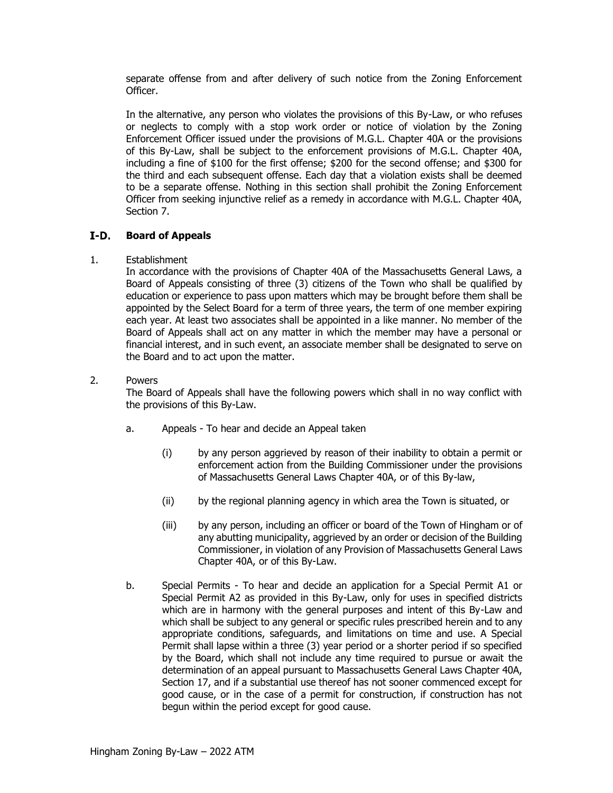separate offense from and after delivery of such notice from the Zoning Enforcement Officer.

In the alternative, any person who violates the provisions of this By-Law, or who refuses or neglects to comply with a stop work order or notice of violation by the Zoning Enforcement Officer issued under the provisions of M.G.L. Chapter 40A or the provisions of this By-Law, shall be subject to the enforcement provisions of M.G.L. Chapter 40A, including a fine of \$100 for the first offense; \$200 for the second offense; and \$300 for the third and each subsequent offense. Each day that a violation exists shall be deemed to be a separate offense. Nothing in this section shall prohibit the Zoning Enforcement Officer from seeking injunctive relief as a remedy in accordance with M.G.L. Chapter 40A, Section 7.

#### I-D. **Board of Appeals**

#### 1. Establishment

In accordance with the provisions of Chapter 40A of the Massachusetts General Laws, a Board of Appeals consisting of three (3) citizens of the Town who shall be qualified by education or experience to pass upon matters which may be brought before them shall be appointed by the Select Board for a term of three years, the term of one member expiring each year. At least two associates shall be appointed in a like manner. No member of the Board of Appeals shall act on any matter in which the member may have a personal or financial interest, and in such event, an associate member shall be designated to serve on the Board and to act upon the matter.

## 2. Powers

The Board of Appeals shall have the following powers which shall in no way conflict with the provisions of this By-Law.

- a. Appeals To hear and decide an Appeal taken
	- (i) by any person aggrieved by reason of their inability to obtain a permit or enforcement action from the Building Commissioner under the provisions of Massachusetts General Laws Chapter 40A, or of this By-law,
	- (ii) by the regional planning agency in which area the Town is situated, or
	- (iii) by any person, including an officer or board of the Town of Hingham or of any abutting municipality, aggrieved by an order or decision of the Building Commissioner, in violation of any Provision of Massachusetts General Laws Chapter 40A, or of this By-Law.
- b. Special Permits To hear and decide an application for a Special Permit A1 or Special Permit A2 as provided in this By-Law, only for uses in specified districts which are in harmony with the general purposes and intent of this By-Law and which shall be subject to any general or specific rules prescribed herein and to any appropriate conditions, safeguards, and limitations on time and use. A Special Permit shall lapse within a three (3) year period or a shorter period if so specified by the Board, which shall not include any time required to pursue or await the determination of an appeal pursuant to Massachusetts General Laws Chapter 40A, Section 17, and if a substantial use thereof has not sooner commenced except for good cause, or in the case of a permit for construction, if construction has not begun within the period except for good cause.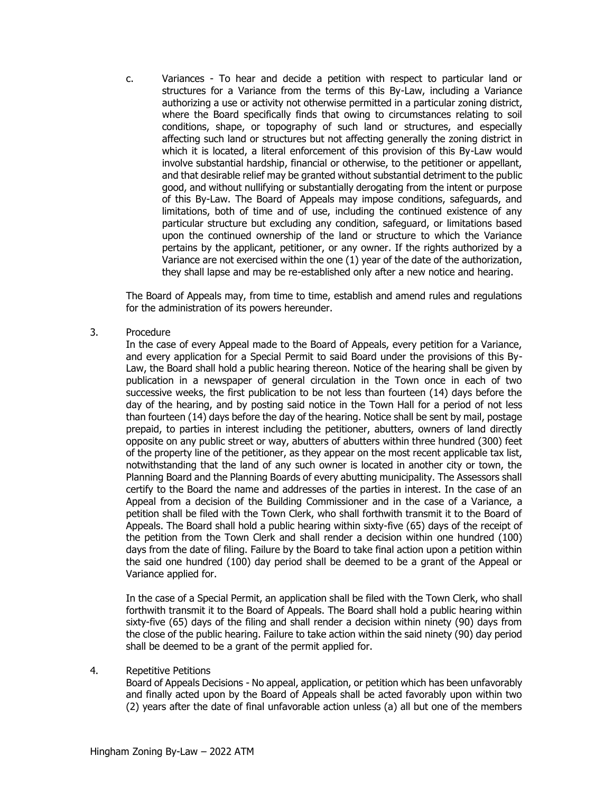c. Variances - To hear and decide a petition with respect to particular land or structures for a Variance from the terms of this By-Law, including a Variance authorizing a use or activity not otherwise permitted in a particular zoning district, where the Board specifically finds that owing to circumstances relating to soil conditions, shape, or topography of such land or structures, and especially affecting such land or structures but not affecting generally the zoning district in which it is located, a literal enforcement of this provision of this By-Law would involve substantial hardship, financial or otherwise, to the petitioner or appellant, and that desirable relief may be granted without substantial detriment to the public good, and without nullifying or substantially derogating from the intent or purpose of this By-Law. The Board of Appeals may impose conditions, safeguards, and limitations, both of time and of use, including the continued existence of any particular structure but excluding any condition, safeguard, or limitations based upon the continued ownership of the land or structure to which the Variance pertains by the applicant, petitioner, or any owner. If the rights authorized by a Variance are not exercised within the one (1) year of the date of the authorization, they shall lapse and may be re-established only after a new notice and hearing.

The Board of Appeals may, from time to time, establish and amend rules and regulations for the administration of its powers hereunder.

#### 3. Procedure

In the case of every Appeal made to the Board of Appeals, every petition for a Variance, and every application for a Special Permit to said Board under the provisions of this By-Law, the Board shall hold a public hearing thereon. Notice of the hearing shall be given by publication in a newspaper of general circulation in the Town once in each of two successive weeks, the first publication to be not less than fourteen (14) days before the day of the hearing, and by posting said notice in the Town Hall for a period of not less than fourteen (14) days before the day of the hearing. Notice shall be sent by mail, postage prepaid, to parties in interest including the petitioner, abutters, owners of land directly opposite on any public street or way, abutters of abutters within three hundred (300) feet of the property line of the petitioner, as they appear on the most recent applicable tax list, notwithstanding that the land of any such owner is located in another city or town, the Planning Board and the Planning Boards of every abutting municipality. The Assessors shall certify to the Board the name and addresses of the parties in interest. In the case of an Appeal from a decision of the Building Commissioner and in the case of a Variance, a petition shall be filed with the Town Clerk, who shall forthwith transmit it to the Board of Appeals. The Board shall hold a public hearing within sixty-five (65) days of the receipt of the petition from the Town Clerk and shall render a decision within one hundred (100) days from the date of filing. Failure by the Board to take final action upon a petition within the said one hundred (100) day period shall be deemed to be a grant of the Appeal or Variance applied for.

In the case of a Special Permit, an application shall be filed with the Town Clerk, who shall forthwith transmit it to the Board of Appeals. The Board shall hold a public hearing within sixty-five (65) days of the filing and shall render a decision within ninety (90) days from the close of the public hearing. Failure to take action within the said ninety (90) day period shall be deemed to be a grant of the permit applied for.

#### 4. Repetitive Petitions

Board of Appeals Decisions - No appeal, application, or petition which has been unfavorably and finally acted upon by the Board of Appeals shall be acted favorably upon within two (2) years after the date of final unfavorable action unless (a) all but one of the members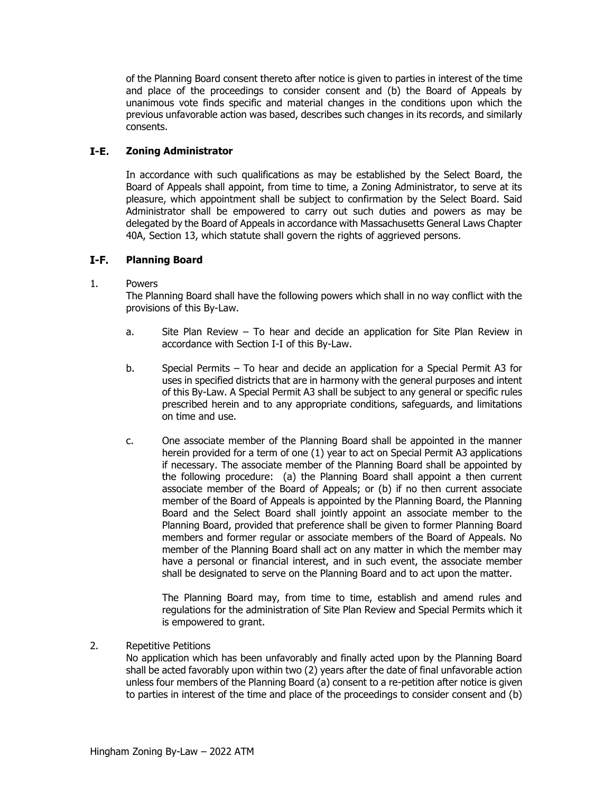of the Planning Board consent thereto after notice is given to parties in interest of the time and place of the proceedings to consider consent and (b) the Board of Appeals by unanimous vote finds specific and material changes in the conditions upon which the previous unfavorable action was based, describes such changes in its records, and similarly consents.

#### I-E. **Zoning Administrator**

In accordance with such qualifications as may be established by the Select Board, the Board of Appeals shall appoint, from time to time, a Zoning Administrator, to serve at its pleasure, which appointment shall be subject to confirmation by the Select Board. Said Administrator shall be empowered to carry out such duties and powers as may be delegated by the Board of Appeals in accordance with Massachusetts General Laws Chapter 40A, Section 13, which statute shall govern the rights of aggrieved persons.

#### $I-F.$ **Planning Board**

## 1. Powers

The Planning Board shall have the following powers which shall in no way conflict with the provisions of this By-Law.

- a. Site Plan Review To hear and decide an application for Site Plan Review in accordance with Section I-I of this By-Law.
- b. Special Permits To hear and decide an application for a Special Permit A3 for uses in specified districts that are in harmony with the general purposes and intent of this By-Law. A Special Permit A3 shall be subject to any general or specific rules prescribed herein and to any appropriate conditions, safeguards, and limitations on time and use.
- c. One associate member of the Planning Board shall be appointed in the manner herein provided for a term of one (1) year to act on Special Permit A3 applications if necessary. The associate member of the Planning Board shall be appointed by the following procedure: (a) the Planning Board shall appoint a then current associate member of the Board of Appeals; or (b) if no then current associate member of the Board of Appeals is appointed by the Planning Board, the Planning Board and the Select Board shall jointly appoint an associate member to the Planning Board, provided that preference shall be given to former Planning Board members and former regular or associate members of the Board of Appeals. No member of the Planning Board shall act on any matter in which the member may have a personal or financial interest, and in such event, the associate member shall be designated to serve on the Planning Board and to act upon the matter.

The Planning Board may, from time to time, establish and amend rules and regulations for the administration of Site Plan Review and Special Permits which it is empowered to grant.

## 2. Repetitive Petitions

No application which has been unfavorably and finally acted upon by the Planning Board shall be acted favorably upon within two (2) years after the date of final unfavorable action unless four members of the Planning Board (a) consent to a re-petition after notice is given to parties in interest of the time and place of the proceedings to consider consent and (b)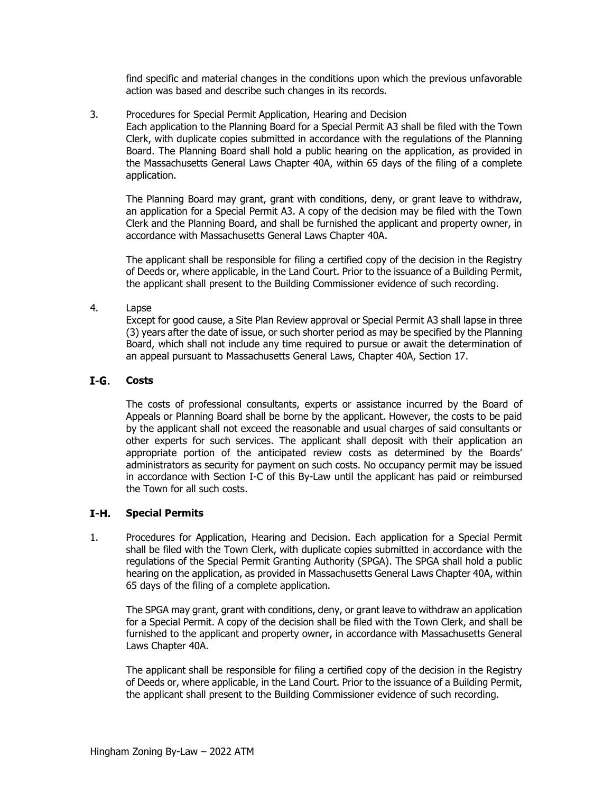find specific and material changes in the conditions upon which the previous unfavorable action was based and describe such changes in its records.

3. Procedures for Special Permit Application, Hearing and Decision

Each application to the Planning Board for a Special Permit A3 shall be filed with the Town Clerk, with duplicate copies submitted in accordance with the regulations of the Planning Board. The Planning Board shall hold a public hearing on the application, as provided in the Massachusetts General Laws Chapter 40A, within 65 days of the filing of a complete application.

The Planning Board may grant, grant with conditions, deny, or grant leave to withdraw, an application for a Special Permit A3. A copy of the decision may be filed with the Town Clerk and the Planning Board, and shall be furnished the applicant and property owner, in accordance with Massachusetts General Laws Chapter 40A.

The applicant shall be responsible for filing a certified copy of the decision in the Registry of Deeds or, where applicable, in the Land Court. Prior to the issuance of a Building Permit, the applicant shall present to the Building Commissioner evidence of such recording.

## 4. Lapse

Except for good cause, a Site Plan Review approval or Special Permit A3 shall lapse in three (3) years after the date of issue, or such shorter period as may be specified by the Planning Board, which shall not include any time required to pursue or await the determination of an appeal pursuant to Massachusetts General Laws, Chapter 40A, Section 17.

#### $I-G.$ **Costs**

The costs of professional consultants, experts or assistance incurred by the Board of Appeals or Planning Board shall be borne by the applicant. However, the costs to be paid by the applicant shall not exceed the reasonable and usual charges of said consultants or other experts for such services. The applicant shall deposit with their application an appropriate portion of the anticipated review costs as determined by the Boards' administrators as security for payment on such costs. No occupancy permit may be issued in accordance with Section I-C of this By-Law until the applicant has paid or reimbursed the Town for all such costs.

#### I-H. **Special Permits**

1. Procedures for Application, Hearing and Decision. Each application for a Special Permit shall be filed with the Town Clerk, with duplicate copies submitted in accordance with the regulations of the Special Permit Granting Authority (SPGA). The SPGA shall hold a public hearing on the application, as provided in Massachusetts General Laws Chapter 40A, within 65 days of the filing of a complete application.

The SPGA may grant, grant with conditions, deny, or grant leave to withdraw an application for a Special Permit. A copy of the decision shall be filed with the Town Clerk, and shall be furnished to the applicant and property owner, in accordance with Massachusetts General Laws Chapter 40A.

The applicant shall be responsible for filing a certified copy of the decision in the Registry of Deeds or, where applicable, in the Land Court. Prior to the issuance of a Building Permit, the applicant shall present to the Building Commissioner evidence of such recording.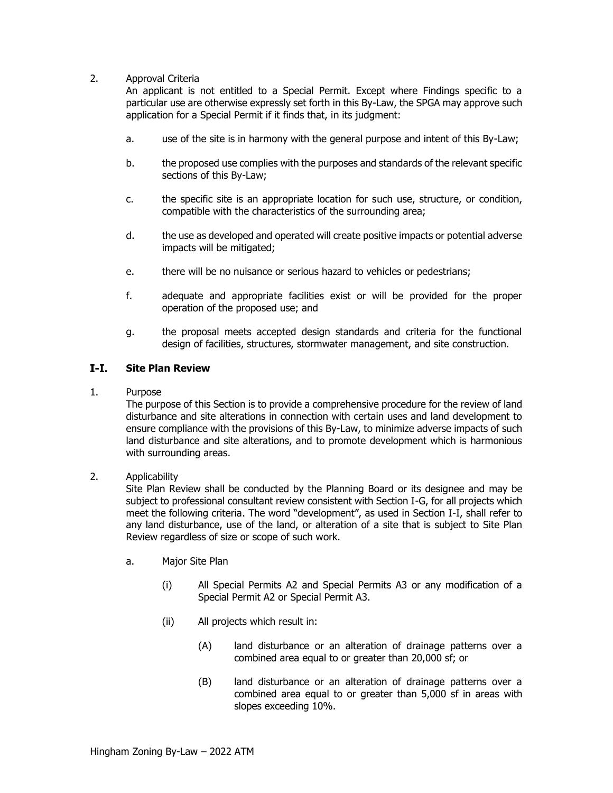## 2. Approval Criteria

An applicant is not entitled to a Special Permit. Except where Findings specific to a particular use are otherwise expressly set forth in this By-Law, the SPGA may approve such application for a Special Permit if it finds that, in its judgment:

- a. use of the site is in harmony with the general purpose and intent of this By-Law;
- b. the proposed use complies with the purposes and standards of the relevant specific sections of this By-Law;
- c. the specific site is an appropriate location for such use, structure, or condition, compatible with the characteristics of the surrounding area;
- d. the use as developed and operated will create positive impacts or potential adverse impacts will be mitigated;
- e. there will be no nuisance or serious hazard to vehicles or pedestrians;
- f. adequate and appropriate facilities exist or will be provided for the proper operation of the proposed use; and
- g. the proposal meets accepted design standards and criteria for the functional design of facilities, structures, stormwater management, and site construction.

#### $I-I.$ **Site Plan Review**

1. Purpose

The purpose of this Section is to provide a comprehensive procedure for the review of land disturbance and site alterations in connection with certain uses and land development to ensure compliance with the provisions of this By-Law, to minimize adverse impacts of such land disturbance and site alterations, and to promote development which is harmonious with surrounding areas.

#### 2. Applicability

Site Plan Review shall be conducted by the Planning Board or its designee and may be subject to professional consultant review consistent with Section I-G, for all projects which meet the following criteria. The word "development", as used in Section I-I, shall refer to any land disturbance, use of the land, or alteration of a site that is subject to Site Plan Review regardless of size or scope of such work.

- a. Major Site Plan
	- (i) All Special Permits A2 and Special Permits A3 or any modification of a Special Permit A2 or Special Permit A3.
	- (ii) All projects which result in:
		- (A) land disturbance or an alteration of drainage patterns over a combined area equal to or greater than 20,000 sf; or
		- (B) land disturbance or an alteration of drainage patterns over a combined area equal to or greater than 5,000 sf in areas with slopes exceeding 10%.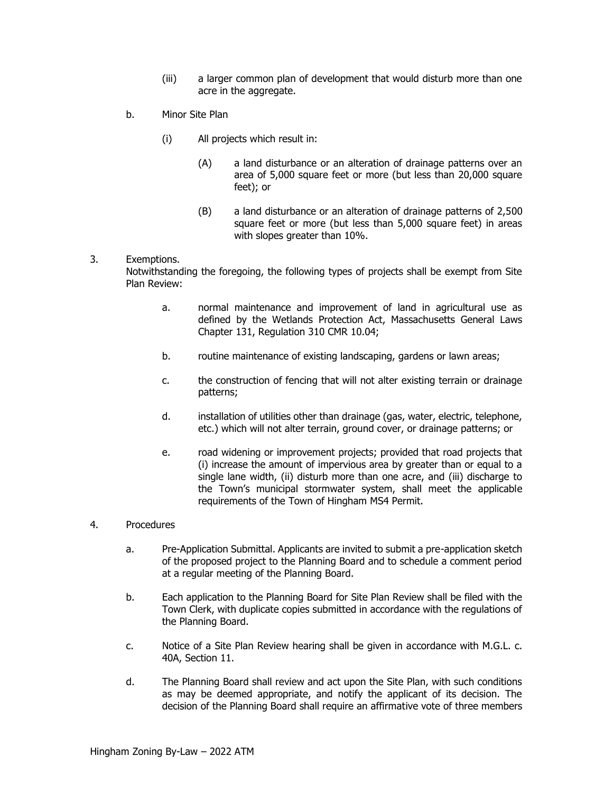- (iii) a larger common plan of development that would disturb more than one acre in the aggregate.
- b. Minor Site Plan
	- (i) All projects which result in:
		- (A) a land disturbance or an alteration of drainage patterns over an area of 5,000 square feet or more (but less than 20,000 square feet); or
		- (B) a land disturbance or an alteration of drainage patterns of 2,500 square feet or more (but less than 5,000 square feet) in areas with slopes greater than 10%.

## 3. Exemptions.

Notwithstanding the foregoing, the following types of projects shall be exempt from Site Plan Review:

- a. normal maintenance and improvement of land in agricultural use as defined by the Wetlands Protection Act, Massachusetts General Laws Chapter 131, Regulation 310 CMR 10.04;
- b. routine maintenance of existing landscaping, gardens or lawn areas;
- c. the construction of fencing that will not alter existing terrain or drainage patterns;
- d. installation of utilities other than drainage (gas, water, electric, telephone, etc.) which will not alter terrain, ground cover, or drainage patterns; or
- e. road widening or improvement projects; provided that road projects that (i) increase the amount of impervious area by greater than or equal to a single lane width, (ii) disturb more than one acre, and (iii) discharge to the Town's municipal stormwater system, shall meet the applicable requirements of the Town of Hingham MS4 Permit.

#### 4. Procedures

- a. Pre-Application Submittal. Applicants are invited to submit a pre-application sketch of the proposed project to the Planning Board and to schedule a comment period at a regular meeting of the Planning Board.
- b. Each application to the Planning Board for Site Plan Review shall be filed with the Town Clerk, with duplicate copies submitted in accordance with the regulations of the Planning Board.
- c. Notice of a Site Plan Review hearing shall be given in accordance with M.G.L. c. 40A, Section 11.
- d. The Planning Board shall review and act upon the Site Plan, with such conditions as may be deemed appropriate, and notify the applicant of its decision. The decision of the Planning Board shall require an affirmative vote of three members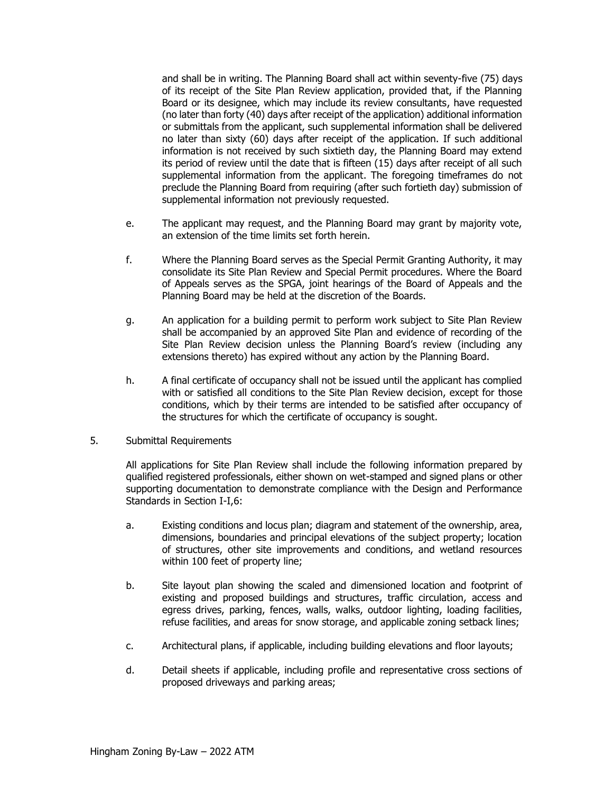and shall be in writing. The Planning Board shall act within seventy-five (75) days of its receipt of the Site Plan Review application, provided that, if the Planning Board or its designee, which may include its review consultants, have requested (no later than forty (40) days after receipt of the application) additional information or submittals from the applicant, such supplemental information shall be delivered no later than sixty (60) days after receipt of the application. If such additional information is not received by such sixtieth day, the Planning Board may extend its period of review until the date that is fifteen (15) days after receipt of all such supplemental information from the applicant. The foregoing timeframes do not preclude the Planning Board from requiring (after such fortieth day) submission of supplemental information not previously requested.

- e. The applicant may request, and the Planning Board may grant by majority vote, an extension of the time limits set forth herein.
- f. Where the Planning Board serves as the Special Permit Granting Authority, it may consolidate its Site Plan Review and Special Permit procedures. Where the Board of Appeals serves as the SPGA, joint hearings of the Board of Appeals and the Planning Board may be held at the discretion of the Boards.
- g. An application for a building permit to perform work subject to Site Plan Review shall be accompanied by an approved Site Plan and evidence of recording of the Site Plan Review decision unless the Planning Board's review (including any extensions thereto) has expired without any action by the Planning Board.
- h. A final certificate of occupancy shall not be issued until the applicant has complied with or satisfied all conditions to the Site Plan Review decision, except for those conditions, which by their terms are intended to be satisfied after occupancy of the structures for which the certificate of occupancy is sought.
- 5. Submittal Requirements

All applications for Site Plan Review shall include the following information prepared by qualified registered professionals, either shown on wet-stamped and signed plans or other supporting documentation to demonstrate compliance with the Design and Performance Standards in Section I-I,6:

- a. Existing conditions and locus plan; diagram and statement of the ownership, area, dimensions, boundaries and principal elevations of the subject property; location of structures, other site improvements and conditions, and wetland resources within 100 feet of property line;
- b. Site layout plan showing the scaled and dimensioned location and footprint of existing and proposed buildings and structures, traffic circulation, access and egress drives, parking, fences, walls, walks, outdoor lighting, loading facilities, refuse facilities, and areas for snow storage, and applicable zoning setback lines;
- c. Architectural plans, if applicable, including building elevations and floor layouts;
- d. Detail sheets if applicable, including profile and representative cross sections of proposed driveways and parking areas;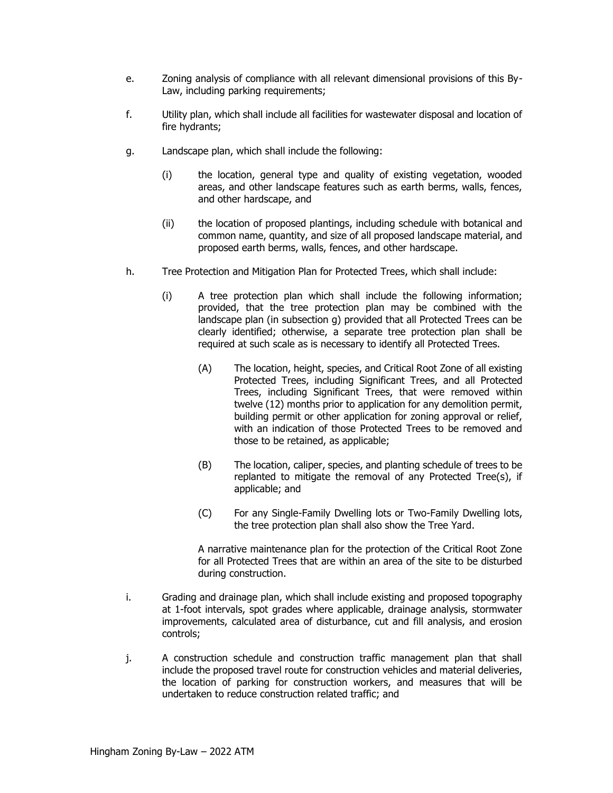- e. Zoning analysis of compliance with all relevant dimensional provisions of this By-Law, including parking requirements;
- f. Utility plan, which shall include all facilities for wastewater disposal and location of fire hydrants;
- g. Landscape plan, which shall include the following:
	- (i) the location, general type and quality of existing vegetation, wooded areas, and other landscape features such as earth berms, walls, fences, and other hardscape, and
	- (ii) the location of proposed plantings, including schedule with botanical and common name, quantity, and size of all proposed landscape material, and proposed earth berms, walls, fences, and other hardscape.
- h. Tree Protection and Mitigation Plan for Protected Trees, which shall include:
	- (i) A tree protection plan which shall include the following information; provided, that the tree protection plan may be combined with the landscape plan (in subsection g) provided that all Protected Trees can be clearly identified; otherwise, a separate tree protection plan shall be required at such scale as is necessary to identify all Protected Trees.
		- (A) The location, height, species, and Critical Root Zone of all existing Protected Trees, including Significant Trees, and all Protected Trees, including Significant Trees, that were removed within twelve (12) months prior to application for any demolition permit, building permit or other application for zoning approval or relief, with an indication of those Protected Trees to be removed and those to be retained, as applicable;
		- (B) The location, caliper, species, and planting schedule of trees to be replanted to mitigate the removal of any Protected Tree(s), if applicable; and
		- (C) For any Single-Family Dwelling lots or Two-Family Dwelling lots, the tree protection plan shall also show the Tree Yard.

A narrative maintenance plan for the protection of the Critical Root Zone for all Protected Trees that are within an area of the site to be disturbed during construction.

- i. Grading and drainage plan, which shall include existing and proposed topography at 1-foot intervals, spot grades where applicable, drainage analysis, stormwater improvements, calculated area of disturbance, cut and fill analysis, and erosion controls;
- j. A construction schedule and construction traffic management plan that shall include the proposed travel route for construction vehicles and material deliveries, the location of parking for construction workers, and measures that will be undertaken to reduce construction related traffic; and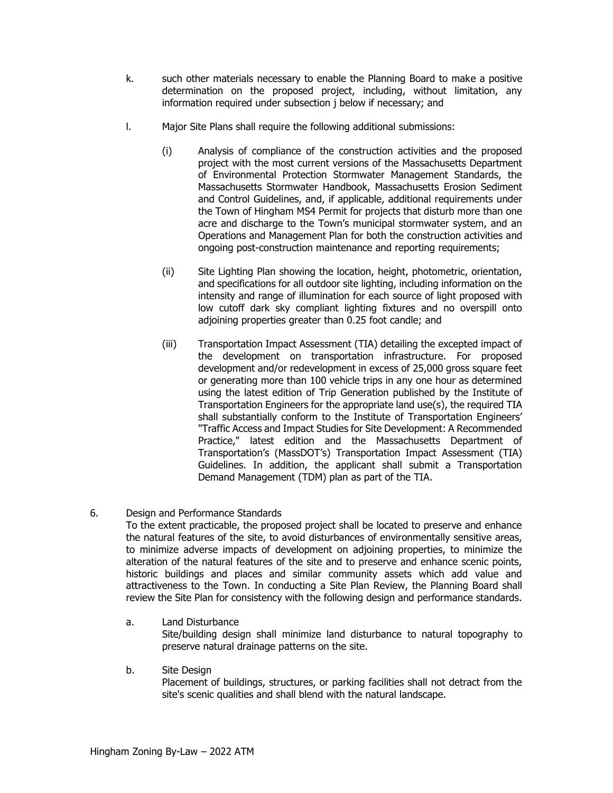- k. such other materials necessary to enable the Planning Board to make a positive determination on the proposed project, including, without limitation, any information required under subsection j below if necessary; and
- l. Major Site Plans shall require the following additional submissions:
	- (i) Analysis of compliance of the construction activities and the proposed project with the most current versions of the Massachusetts Department of Environmental Protection Stormwater Management Standards, the Massachusetts Stormwater Handbook, Massachusetts Erosion Sediment and Control Guidelines, and, if applicable, additional requirements under the Town of Hingham MS4 Permit for projects that disturb more than one acre and discharge to the Town's municipal stormwater system, and an Operations and Management Plan for both the construction activities and ongoing post-construction maintenance and reporting requirements;
	- (ii) Site Lighting Plan showing the location, height, photometric, orientation, and specifications for all outdoor site lighting, including information on the intensity and range of illumination for each source of light proposed with low cutoff dark sky compliant lighting fixtures and no overspill onto adjoining properties greater than 0.25 foot candle; and
	- (iii) Transportation Impact Assessment (TIA) detailing the excepted impact of the development on transportation infrastructure. For proposed development and/or redevelopment in excess of 25,000 gross square feet or generating more than 100 vehicle trips in any one hour as determined using the latest edition of Trip Generation published by the Institute of Transportation Engineers for the appropriate land use(s), the required TIA shall substantially conform to the Institute of Transportation Engineers' "Traffic Access and Impact Studies for Site Development: A Recommended Practice," latest edition and the Massachusetts Department of Transportation's (MassDOT's) Transportation Impact Assessment (TIA) Guidelines. In addition, the applicant shall submit a Transportation Demand Management (TDM) plan as part of the TIA.
- 6. Design and Performance Standards

To the extent practicable, the proposed project shall be located to preserve and enhance the natural features of the site, to avoid disturbances of environmentally sensitive areas, to minimize adverse impacts of development on adjoining properties, to minimize the alteration of the natural features of the site and to preserve and enhance scenic points, historic buildings and places and similar community assets which add value and attractiveness to the Town. In conducting a Site Plan Review, the Planning Board shall review the Site Plan for consistency with the following design and performance standards.

- a. Land Disturbance Site/building design shall minimize land disturbance to natural topography to preserve natural drainage patterns on the site.
- b. Site Design

Placement of buildings, structures, or parking facilities shall not detract from the site's scenic qualities and shall blend with the natural landscape.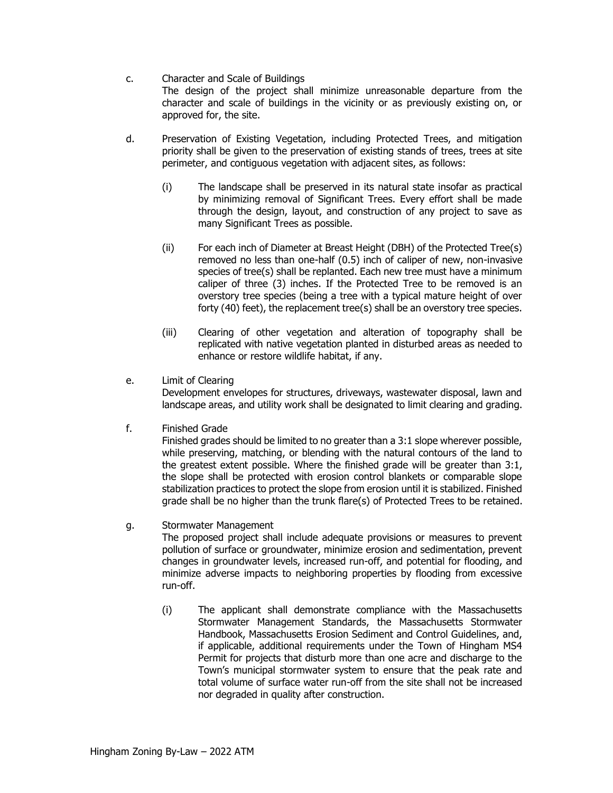## c. Character and Scale of Buildings The design of the project shall minimize unreasonable departure from the character and scale of buildings in the vicinity or as previously existing on, or approved for, the site.

- d. Preservation of Existing Vegetation, including Protected Trees, and mitigation priority shall be given to the preservation of existing stands of trees, trees at site perimeter, and contiguous vegetation with adjacent sites, as follows:
	- (i) The landscape shall be preserved in its natural state insofar as practical by minimizing removal of Significant Trees. Every effort shall be made through the design, layout, and construction of any project to save as many Significant Trees as possible.
	- (ii) For each inch of Diameter at Breast Height (DBH) of the Protected Tree(s) removed no less than one-half (0.5) inch of caliper of new, non-invasive species of tree(s) shall be replanted. Each new tree must have a minimum caliper of three (3) inches. If the Protected Tree to be removed is an overstory tree species (being a tree with a typical mature height of over forty (40) feet), the replacement tree(s) shall be an overstory tree species.
	- (iii) Clearing of other vegetation and alteration of topography shall be replicated with native vegetation planted in disturbed areas as needed to enhance or restore wildlife habitat, if any.
- e. Limit of Clearing

Development envelopes for structures, driveways, wastewater disposal, lawn and landscape areas, and utility work shall be designated to limit clearing and grading.

f. Finished Grade

Finished grades should be limited to no greater than a 3:1 slope wherever possible, while preserving, matching, or blending with the natural contours of the land to the greatest extent possible. Where the finished grade will be greater than 3:1, the slope shall be protected with erosion control blankets or comparable slope stabilization practices to protect the slope from erosion until it is stabilized. Finished grade shall be no higher than the trunk flare(s) of Protected Trees to be retained.

## g. Stormwater Management

The proposed project shall include adequate provisions or measures to prevent pollution of surface or groundwater, minimize erosion and sedimentation, prevent changes in groundwater levels, increased run-off, and potential for flooding, and minimize adverse impacts to neighboring properties by flooding from excessive run-off.

(i) The applicant shall demonstrate compliance with the Massachusetts Stormwater Management Standards, the Massachusetts Stormwater Handbook, Massachusetts Erosion Sediment and Control Guidelines, and, if applicable, additional requirements under the Town of Hingham MS4 Permit for projects that disturb more than one acre and discharge to the Town's municipal stormwater system to ensure that the peak rate and total volume of surface water run-off from the site shall not be increased nor degraded in quality after construction.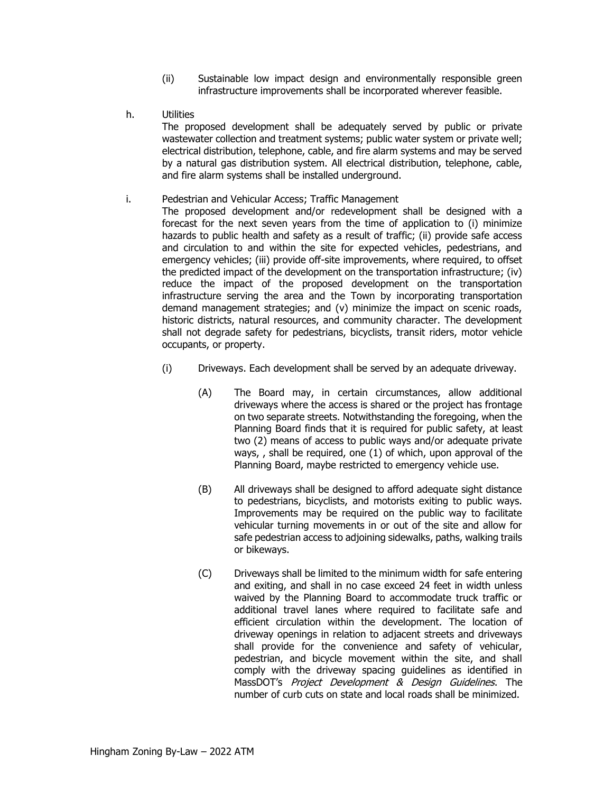- (ii) Sustainable low impact design and environmentally responsible green infrastructure improvements shall be incorporated wherever feasible.
- h. Utilities

The proposed development shall be adequately served by public or private wastewater collection and treatment systems; public water system or private well; electrical distribution, telephone, cable, and fire alarm systems and may be served by a natural gas distribution system. All electrical distribution, telephone, cable, and fire alarm systems shall be installed underground.

#### i. Pedestrian and Vehicular Access; Traffic Management

The proposed development and/or redevelopment shall be designed with a forecast for the next seven years from the time of application to (i) minimize hazards to public health and safety as a result of traffic; (ii) provide safe access and circulation to and within the site for expected vehicles, pedestrians, and emergency vehicles; (iii) provide off-site improvements, where required, to offset the predicted impact of the development on the transportation infrastructure; (iv) reduce the impact of the proposed development on the transportation infrastructure serving the area and the Town by incorporating transportation demand management strategies; and (v) minimize the impact on scenic roads, historic districts, natural resources, and community character. The development shall not degrade safety for pedestrians, bicyclists, transit riders, motor vehicle occupants, or property.

- (i) Driveways. Each development shall be served by an adequate driveway.
	- (A) The Board may, in certain circumstances, allow additional driveways where the access is shared or the project has frontage on two separate streets. Notwithstanding the foregoing, when the Planning Board finds that it is required for public safety, at least two (2) means of access to public ways and/or adequate private ways, , shall be required, one (1) of which, upon approval of the Planning Board, maybe restricted to emergency vehicle use.
	- (B) All driveways shall be designed to afford adequate sight distance to pedestrians, bicyclists, and motorists exiting to public ways. Improvements may be required on the public way to facilitate vehicular turning movements in or out of the site and allow for safe pedestrian access to adjoining sidewalks, paths, walking trails or bikeways.
	- (C) Driveways shall be limited to the minimum width for safe entering and exiting, and shall in no case exceed 24 feet in width unless waived by the Planning Board to accommodate truck traffic or additional travel lanes where required to facilitate safe and efficient circulation within the development. The location of driveway openings in relation to adjacent streets and driveways shall provide for the convenience and safety of vehicular, pedestrian, and bicycle movement within the site, and shall comply with the driveway spacing guidelines as identified in MassDOT's Project Development & Design Guidelines. The number of curb cuts on state and local roads shall be minimized.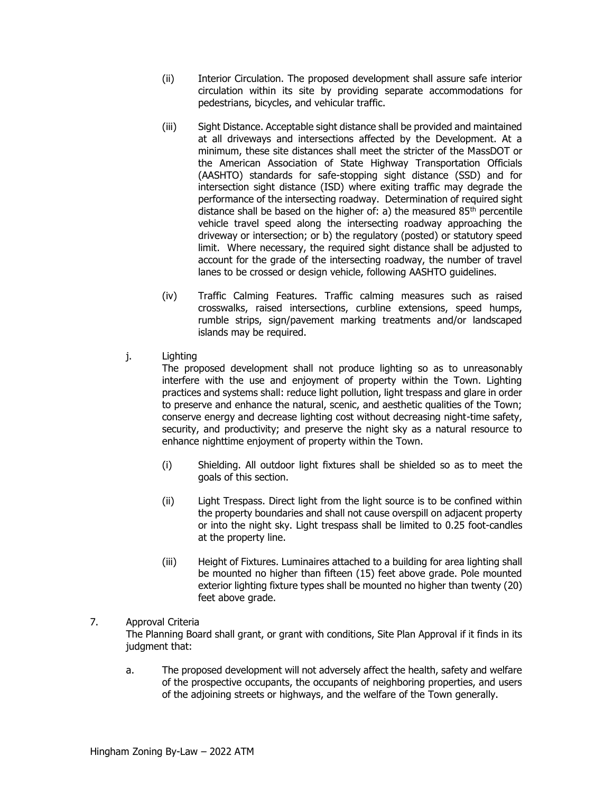- (ii) Interior Circulation. The proposed development shall assure safe interior circulation within its site by providing separate accommodations for pedestrians, bicycles, and vehicular traffic.
- (iii) Sight Distance. Acceptable sight distance shall be provided and maintained at all driveways and intersections affected by the Development. At a minimum, these site distances shall meet the stricter of the MassDOT or the American Association of State Highway Transportation Officials (AASHTO) standards for safe-stopping sight distance (SSD) and for intersection sight distance (ISD) where exiting traffic may degrade the performance of the intersecting roadway. Determination of required sight distance shall be based on the higher of: a) the measured  $85<sup>th</sup>$  percentile vehicle travel speed along the intersecting roadway approaching the driveway or intersection; or b) the regulatory (posted) or statutory speed limit. Where necessary, the required sight distance shall be adjusted to account for the grade of the intersecting roadway, the number of travel lanes to be crossed or design vehicle, following AASHTO guidelines.
- (iv) Traffic Calming Features. Traffic calming measures such as raised crosswalks, raised intersections, curbline extensions, speed humps, rumble strips, sign/pavement marking treatments and/or landscaped islands may be required.
- j. Lighting

The proposed development shall not produce lighting so as to unreasonably interfere with the use and enjoyment of property within the Town. Lighting practices and systems shall: reduce light pollution, light trespass and glare in order to preserve and enhance the natural, scenic, and aesthetic qualities of the Town; conserve energy and decrease lighting cost without decreasing night-time safety, security, and productivity; and preserve the night sky as a natural resource to enhance nighttime enjoyment of property within the Town.

- (i) Shielding. All outdoor light fixtures shall be shielded so as to meet the goals of this section.
- (ii) Light Trespass. Direct light from the light source is to be confined within the property boundaries and shall not cause overspill on adjacent property or into the night sky. Light trespass shall be limited to 0.25 foot-candles at the property line.
- (iii) Height of Fixtures. Luminaires attached to a building for area lighting shall be mounted no higher than fifteen (15) feet above grade. Pole mounted exterior lighting fixture types shall be mounted no higher than twenty (20) feet above grade.

## 7. Approval Criteria

The Planning Board shall grant, or grant with conditions, Site Plan Approval if it finds in its judgment that:

a. The proposed development will not adversely affect the health, safety and welfare of the prospective occupants, the occupants of neighboring properties, and users of the adjoining streets or highways, and the welfare of the Town generally.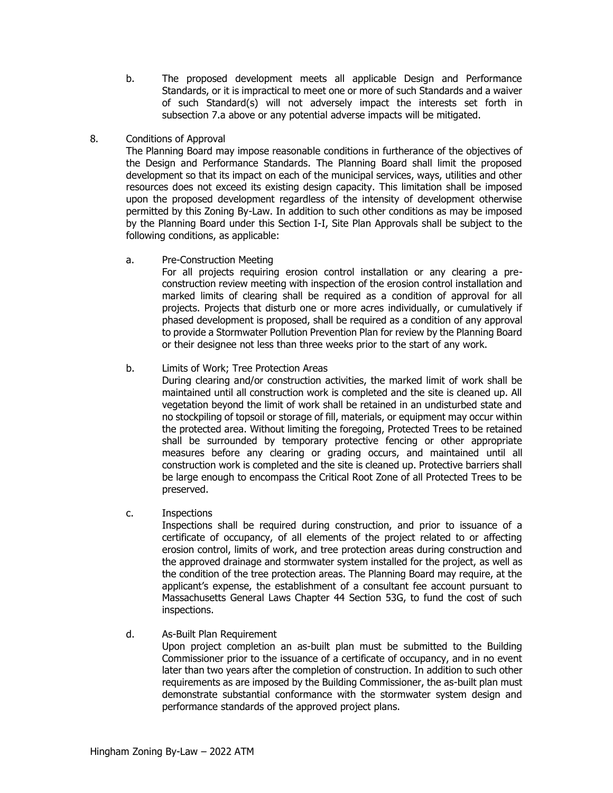- b. The proposed development meets all applicable Design and Performance Standards, or it is impractical to meet one or more of such Standards and a waiver of such Standard(s) will not adversely impact the interests set forth in subsection 7.a above or any potential adverse impacts will be mitigated.
- 8. Conditions of Approval

The Planning Board may impose reasonable conditions in furtherance of the objectives of the Design and Performance Standards. The Planning Board shall limit the proposed development so that its impact on each of the municipal services, ways, utilities and other resources does not exceed its existing design capacity. This limitation shall be imposed upon the proposed development regardless of the intensity of development otherwise permitted by this Zoning By-Law. In addition to such other conditions as may be imposed by the Planning Board under this Section I-I, Site Plan Approvals shall be subject to the following conditions, as applicable:

a. Pre-Construction Meeting

For all projects requiring erosion control installation or any clearing a preconstruction review meeting with inspection of the erosion control installation and marked limits of clearing shall be required as a condition of approval for all projects. Projects that disturb one or more acres individually, or cumulatively if phased development is proposed, shall be required as a condition of any approval to provide a Stormwater Pollution Prevention Plan for review by the Planning Board or their designee not less than three weeks prior to the start of any work.

## b. Limits of Work; Tree Protection Areas

During clearing and/or construction activities, the marked limit of work shall be maintained until all construction work is completed and the site is cleaned up. All vegetation beyond the limit of work shall be retained in an undisturbed state and no stockpiling of topsoil or storage of fill, materials, or equipment may occur within the protected area. Without limiting the foregoing, Protected Trees to be retained shall be surrounded by temporary protective fencing or other appropriate measures before any clearing or grading occurs, and maintained until all construction work is completed and the site is cleaned up. Protective barriers shall be large enough to encompass the Critical Root Zone of all Protected Trees to be preserved.

c. Inspections

Inspections shall be required during construction, and prior to issuance of a certificate of occupancy, of all elements of the project related to or affecting erosion control, limits of work, and tree protection areas during construction and the approved drainage and stormwater system installed for the project, as well as the condition of the tree protection areas. The Planning Board may require, at the applicant's expense, the establishment of a consultant fee account pursuant to Massachusetts General Laws Chapter 44 Section 53G, to fund the cost of such inspections.

d. As-Built Plan Requirement

Upon project completion an as-built plan must be submitted to the Building Commissioner prior to the issuance of a certificate of occupancy, and in no event later than two years after the completion of construction. In addition to such other requirements as are imposed by the Building Commissioner, the as-built plan must demonstrate substantial conformance with the stormwater system design and performance standards of the approved project plans.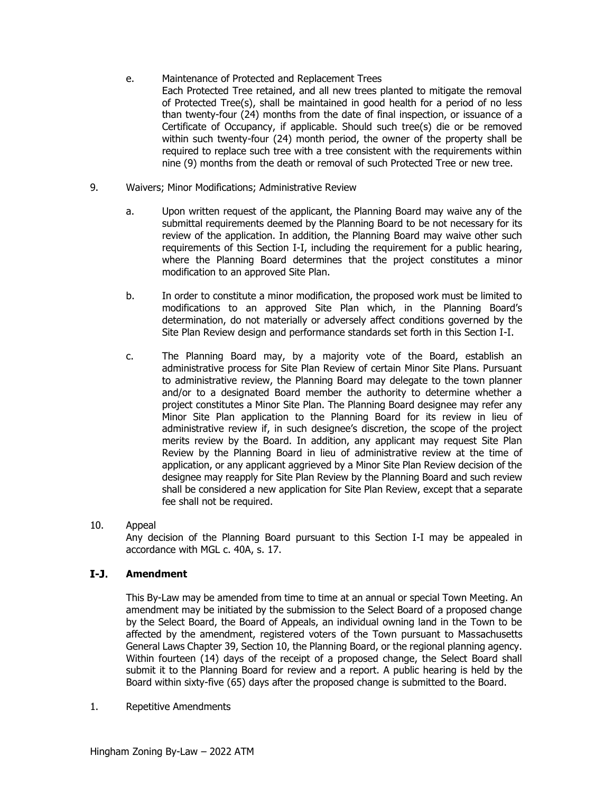- e. Maintenance of Protected and Replacement Trees Each Protected Tree retained, and all new trees planted to mitigate the removal of Protected Tree(s), shall be maintained in good health for a period of no less than twenty-four (24) months from the date of final inspection, or issuance of a Certificate of Occupancy, if applicable. Should such tree(s) die or be removed within such twenty-four (24) month period, the owner of the property shall be required to replace such tree with a tree consistent with the requirements within nine (9) months from the death or removal of such Protected Tree or new tree.
- 9. Waivers; Minor Modifications; Administrative Review
	- a. Upon written request of the applicant, the Planning Board may waive any of the submittal requirements deemed by the Planning Board to be not necessary for its review of the application. In addition, the Planning Board may waive other such requirements of this Section I-I, including the requirement for a public hearing, where the Planning Board determines that the project constitutes a minor modification to an approved Site Plan.
	- b. In order to constitute a minor modification, the proposed work must be limited to modifications to an approved Site Plan which, in the Planning Board's determination, do not materially or adversely affect conditions governed by the Site Plan Review design and performance standards set forth in this Section I-I.
	- c. The Planning Board may, by a majority vote of the Board, establish an administrative process for Site Plan Review of certain Minor Site Plans. Pursuant to administrative review, the Planning Board may delegate to the town planner and/or to a designated Board member the authority to determine whether a project constitutes a Minor Site Plan. The Planning Board designee may refer any Minor Site Plan application to the Planning Board for its review in lieu of administrative review if, in such designee's discretion, the scope of the project merits review by the Board. In addition, any applicant may request Site Plan Review by the Planning Board in lieu of administrative review at the time of application, or any applicant aggrieved by a Minor Site Plan Review decision of the designee may reapply for Site Plan Review by the Planning Board and such review shall be considered a new application for Site Plan Review, except that a separate fee shall not be required.
- 10. Appeal Any decision of the Planning Board pursuant to this Section I-I may be appealed in accordance with MGL c. 40A, s. 17.

#### $I-J.$ **Amendment**

This By-Law may be amended from time to time at an annual or special Town Meeting. An amendment may be initiated by the submission to the Select Board of a proposed change by the Select Board, the Board of Appeals, an individual owning land in the Town to be affected by the amendment, registered voters of the Town pursuant to Massachusetts General Laws Chapter 39, Section 10, the Planning Board, or the regional planning agency. Within fourteen (14) days of the receipt of a proposed change, the Select Board shall submit it to the Planning Board for review and a report. A public hearing is held by the Board within sixty-five (65) days after the proposed change is submitted to the Board.

1. Repetitive Amendments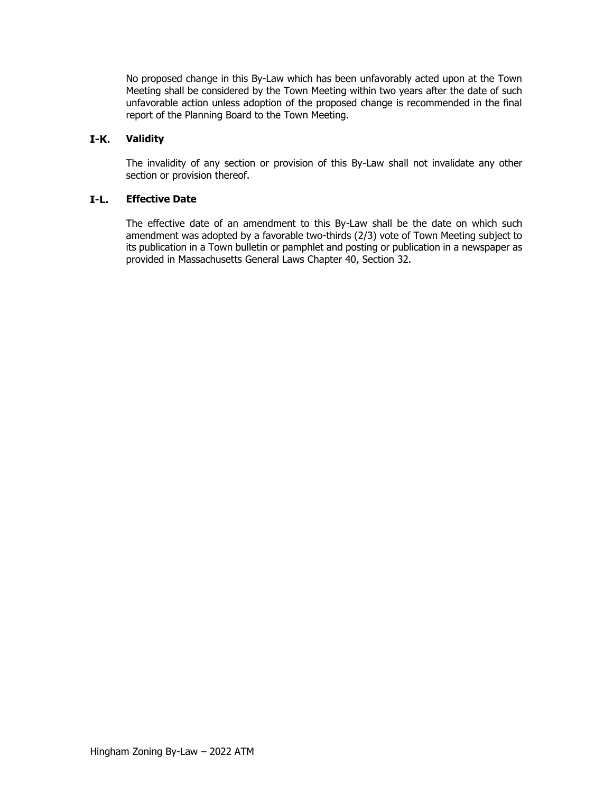No proposed change in this By-Law which has been unfavorably acted upon at the Town Meeting shall be considered by the Town Meeting within two years after the date of such unfavorable action unless adoption of the proposed change is recommended in the final report of the Planning Board to the Town Meeting.

#### $I-K.$ **Validity**

The invalidity of any section or provision of this By-Law shall not invalidate any other section or provision thereof.

#### $I-L.$ **Effective Date**

The effective date of an amendment to this By-Law shall be the date on which such amendment was adopted by a favorable two-thirds (2/3) vote of Town Meeting subject to its publication in a Town bulletin or pamphlet and posting or publication in a newspaper as provided in Massachusetts General Laws Chapter 40, Section 32.